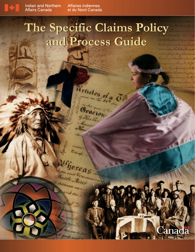**Indian and Northern Affairs Canada** 

**Affaires indiennes** et du Nord Canada

# **The Specific Claims Policy The Specific Claims Policy and Process Guide and Process Guide**

Hrticles .

Bracion

Gereas

AS ON

Œ.

Canada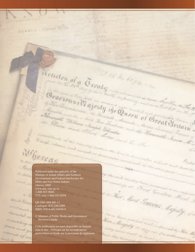Published under the authority of the Minister of Indian Affairs and Northern Development and Federal Interlocutor for Métis and Non-Status Indians Ottawa, 2009 www.ainc-inac.gc.ca 1-800-567-9604 TTY only 1-866-553-0554

Hrucies of a Greaty

of the legal -

ar Break Gardine

For Read Guardian Les<br>Latinum Rajesty

raly of

**Monday** 

rata

and by Here they

Graciones N'ajesty the Queen of Great Srian

aking the common

QS-5401-000-BB-A1 Catalogue: R32-248/2009 ISBN: 978-0-662-06458-9

Milbereas

 $R_{12}$ 

the shortest

 $-56$ 

- Har

and droved

DESCRIPTION AND VALUE

© Minister of Public Works and Government Services Canada

Cette publication est aussi disponible en français sous le titre : Politique sur les revendications particulières et Guide sur le processus de règlement.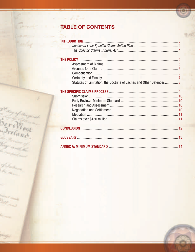# **TABLE OF CONTENTS**

 $- - 1.74$ 

 $\frac{3!}{3!2!3!}$ 

۵

D.

|                      | Statutes of Limitation, the Doctrine of Laches and Other Defences 8 |  |
|----------------------|---------------------------------------------------------------------|--|
|                      |                                                                     |  |
|                      |                                                                     |  |
|                      |                                                                     |  |
|                      |                                                                     |  |
|                      |                                                                     |  |
|                      |                                                                     |  |
| Part of the Seats of |                                                                     |  |
|                      |                                                                     |  |
|                      |                                                                     |  |
|                      |                                                                     |  |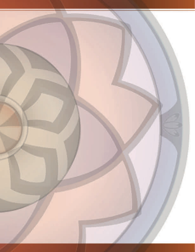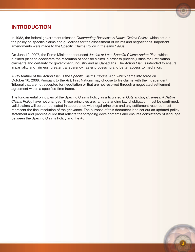# INTRODUCTION

In 1982, the federal government released *Outstanding Business: A Native Claims Policy*, which set out the policy on specific claims and guidelines for the assessment of claims and negotiations. Important amendments were made to the Specific Claims Policy in the early 1990s.

On June 12, 2007, the Prime Minister announced *Justice at Last: Specific Claims Action Plan*, which outlined plans to accelerate the resolution of specifc claims in order to provide justice for First Nation claimants and certainty for government, industry and all Canadians. The *Action Plan* is intended to ensure impartiality and fairness, greater transparency, faster processing and better access to mediation.

A key feature of the *Action Plan* is the *Specific Claims Tribunal Act*, which came into force on October 16, 2008. Pursuant to the *Act*, First Nations may choose to fle claims with the independent Tribunal that are not accepted for negotiation or that are not resolved through a negotiated settlement agreement within a specifed time frame.

The fundamental principles of the Specifc Claims Policy as articulated in *Outstanding Business: A Native Claims Policy* have not changed. These principles are: an outstanding lawful obligation must be confrmed, valid claims will be compensated in accordance with legal principles and any settlement reached must represent the fnal resolution of the grievance. The purpose of this document is to set out an updated policy statement and process guide that refects the foregoing developments and ensures consistency of language between the Specific Claims Policy and the *Act*.

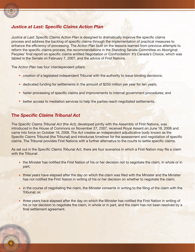# *Justice at Last: Specific Claims Action Plan*

*Justice at Last: Specific Claims Action Plan* is designed to dramatically improve the specific claims process and address the backlog of specifc claims through the implementation of practical measures to enhance the effciency of processing. The *Action Plan* built on the lessons learned from previous attempts to reform the specific claims process, the recommendations in the Standing Senate Committee on Aboriginal Peoples' final report on specific claims entitled *Negotiation or Confrontation: It's Canada's Choice*, which was tabled in the Senate on February 7, 2007, and the advice of First Nations.

The *Action Plan* has four interdependent pillars:

- creation of a legislated independent Tribunal with the authority to issue binding decisions;
- dedicated funding for settlements in the amount of \$250 million per year for ten years;
- faster processing of specific claims and improvements to internal government procedures; and
- better access to mediation services to help the parties reach negotiated settlements.

## The *Specific Claims Tribunal Act*

**4**

The *Specific Claims Tribunal Act* (the *Act*), developed jointly with the Assembly of First Nations, was introduced in the House of Commons on November 27, 2007, received Royal Assent on June 18, 2008 and came into force on October 16, 2008. The *Act* creates an independent adjudicative body known as the Specifc Claims Tribunal (the Tribunal) and introduces timelines for the assessment and negotiation of specifc claims. The Tribunal provides First Nations with a further alternative to the courts to settle specifc claims.

As set out in the *Specific Claims Tribunal Act*, there are four scenarios in which a First Nation may fle a claim with the Tribunal:

- the Minister has notified the First Nation of his or her decision not to negotiate the claim, in whole or in part;
- three years have elapsed after the day on which the claim was filed with the Minister and the Minister has not notified the First Nation in writing of his or her decision on whether to negotiate the claim;
- in the course of negotiating the claim, the Minister consents in writing to the filing of the claim with the Tribunal; or,
- three years have elapsed after the day on which the Minister has notified the First Nation in writing of his or her decision to negotiate the claim, in whole or in part, and the claim has not been resolved by a final settlement agreement.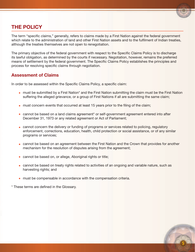# THE POLICY

The term "specifc claims," generally, refers to claims made by a First Nation against the federal government which relate to the administration of land and other First Nation assets and to the fulfilment of Indian treaties, although the treaties themselves are not open to renegotiation.

The primary objective of the federal government with respect to the Specifc Claims Policy is to discharge its lawful obligation, as determined by the courts if necessary. Negotiation, however, remains the preferred means of settlement by the federal government. The Specifc Claims Policy establishes the principles and process for resolving specific claims through negotiation.

## Assessment of Claims

In order to be assessed within the Specific Claims Policy, a specific claim:

- must be submitted by a First Nation\* and the First Nation submitting the claim must be the First Nation suffering the alleged grievance, or a group of First Nations if all are submitting the same claim;
- must concern events that occurred at least 15 years prior to the filing of the claim;
- cannot be based on a land claims agreement\* or self-government agreement entered into after December 31, 1973 or any related agreement or Act of Parliament;
- cannot concern the delivery or funding of programs or services related to policing, regulatory enforcement, corrections, education, health, child protection or social assistance, or of any similar programs or services;
- cannot be based on an agreement between the First Nation and the Crown that provides for another mechanism for the resolution of disputes arising from the agreement;
- cannot be based on, or allege, Aboriginal rights or title;
- cannot be based on treaty rights related to activities of an ongoing and variable nature, such as harvesting rights; and
- must be compensable in accordance with the compensation criteria.

\* These terms are defned in the Glossary.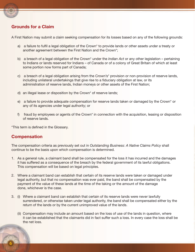# Grounds for a Claim

A First Nation may submit a claim seeking compensation for its losses based on any of the following grounds:

- a) a failure to fulfil a legal obligation of the Crown\* to provide lands or other assets under a treaty or another agreement between the First Nation and the Crown\*;
- b) a breach of a legal obligation of the Crown<sup>\*</sup> under the *Indian Act* or any other legislation pertaining to Indians or lands reserved for Indians – of Canada or of a colony of Great Britain of which at least some portion now forms part of Canada;
- c) a breach of a legal obligation arising from the Crown's\* provision or non-provision of reserve lands, including unilateral undertakings that give rise to a fiduciary obligation at law, or its administration of reserve lands, Indian moneys or other assets of the First Nation;
- d) an illegal lease or disposition by the Crown\* of reserve lands;
- e) a failure to provide adequate compensation for reserve lands taken or damaged by the Crown\* or any of its agencies under legal authority; or
- f) fraud by employees or agents of the Crown<sup>\*</sup> in connection with the acquisition, leasing or disposition of reserve lands.

\*This term is defned in the Glossary.

# **Compensation**

The compensation criteria as previously set out in *Outstanding Business: A Native Claims Policy* shall continue to be the basis upon which compensation is determined.

- 1. As a general rule, a claimant band shall be compensated for the loss it has incurred and the damages it has suffered as a consequence of the breach by the federal government of its lawful obligations. This compensation will be based on legal principles.
- 2. Where a claimant band can establish that certain of its reserve lands were taken or damaged under legal authority, but that no compensation was ever paid, the band shall be compensated by the payment of the value of these lands at the time of the taking or the amount of the damage done, whichever is the case.
- 3. (i) Where a claimant band can establish that certain of its reserve lands were never lawfully surrendered, or otherwise taken under legal authority, the band shall be compensated either by the return of the lands or by the current unimproved value of the lands.
	- (ii) Compensation may include an amount based on the loss of use of the lands in question, where it can be established that the claimants did in fact suffer such a loss. In every case the loss shall be the net loss.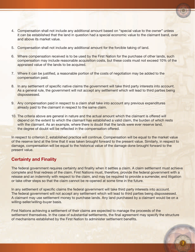- 4. Compensation shall not include any additional amount based on "special value to the owner" unless it can be established that the land in question had a special economic value to the claimant band, over and above its market value.
- 5. Compensation shall not include any additional amount for the forcible taking of land.
- 6. Where compensation received is to be used by the First Nation for the purchase of other lands, such compensation may include reasonable acquisition costs, but these costs must not exceed 10% of the appraised value of the lands to be acquired.
- 7. Where it can be justified, a reasonable portion of the costs of negotiation may be added to the compensation paid.
- 8. In any settlement of specific native claims the government will take third party interests into account. As a general rule, the government will not accept any settlement which will lead to third parties being dispossessed.
- 9. Any compensation paid in respect to a claim shall take into account any previous expenditures already paid to the claimant in respect to the same claim.
- 10. The criteria above are general in nature and the actual amount which the claimant is offered will depend on the extent to which the claimant has established a valid claim, the burden of which rests with the claimant. As an example, where there is doubt that the lands were ever reserve land, the degree of doubt will be refected in the compensation offered.

In respect to criterion 2, established practice will continue. Compensation will be equal to the market value of the reserve land at the time that it was taken brought forward to the present value. Similarly, in respect to damage, compensation will be equal to the historical value of the damage done brought forward to the present value.

## Certainty and Finality

The federal government requires certainty and finality when it settles a claim. A claim settlement must achieve complete and fnal redress of the claim. First Nations must, therefore, provide the federal government with a release and an indemnity with respect to the claim, and may be required to provide a surrender, end litigation or take other steps so that the claim cannot be re-opened at some time in the future.

In any settlement of specific claims the federal government will take third party interests into account. The federal government will not accept any settlement which will lead to third parties being dispossessed. A claimant may use settlement money to purchase lands. Any land purchased by a claimant would be on a willing-seller/willing-buyer basis.

First Nations achieving a settlement of their claims are expected to manage the proceeds of the settlement themselves. In the case of substantial settlements, the final agreement may specify the structure of mechanisms established by the First Nation to administer settlement benefts.

**7**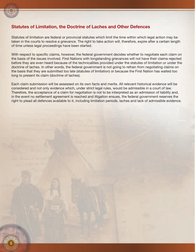# Statutes of Limitation, the Doctrine of Laches and Other Defences

Statutes of limitation are federal or provincial statutes which limit the time within which legal action may be taken in the courts to resolve a grievance. The right to take action will, therefore, expire after a certain length of time unless legal proceedings have been started.

With respect to specific claims, however, the federal government decides whether to negotiate each claim on the basis of the issues involved. First Nations with longstanding grievances will not have their claims rejected before they are even heard because of the technicalities provided under the statutes of limitation or under the doctrine of laches. In other words, the federal government is not going to refrain from negotiating claims on the basis that they are submitted too late (statutes of limitation) or because the First Nation has waited too long to present its claim (doctrine of laches).

 right to plead all defences available to it, including limitation periods, laches and lack of admissible evidence. Each claim submission will be assessed on its own facts and merits. All relevant historical evidence will be considered and not only evidence which, under strict legal rules, would be admissible in a court of law. Therefore, the acceptance of a claim for negotiation is not to be interpreted as an admission of liability and, in the event no settlement agreement is reached and litigation ensues, the federal government reserves the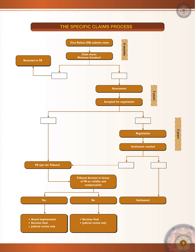# THE SPECIFIC CLAIMS PROCESS



3 years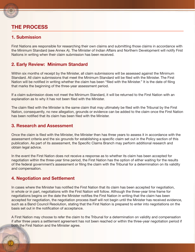# THE PROCESS

# 1. Submission

First Nations are responsible for researching their own claims and submitting those claims in accordance with the Minimum Standard (see Annex A). The Minister of Indian Affairs and Northern Development will notify First Nations in writing when their claim submission has been received.

# 2. Early Review: Minimum Standard

Within six months of receipt by the Minister, all claim submissions will be assessed against the Minimum Standard. All claim submissions that meet the Minimum Standard will be fled with the Minister. The First Nation will be notified in writing whether the claim has been "filed with the Minister." It is the date of filing that marks the beginning of the three-year assessment period.

If a claim submission does not meet the Minimum Standard, it will be returned to the First Nation with an explanation as to why it has not been fled with the Minister.

The claim fled with the Minister is the same claim that may ultimately be fled with the Tribunal by the First Nation, consequently, no new allegation, grounds or evidence can be added to the claim once the First Nation has been notifed that its claim has been fled with the Minister.

### 3. Research and Assessment

Once the claim is fled with the Minister, the Minister then has three years to assess it in accordance with the assessment criteria and the six grounds for establishing a specifc claim set out in the Policy section of this publication. As part of its assessment, the Specifc Claims Branch may perform additional research and obtain legal advice.

In the event the First Nation does not receive a response as to whether its claim has been accepted for negotiation within the three-year time period, the First Nation has the option of either waiting for the results of the federal government's assessment or fling the claim with the Tribunal for a determination on its validity and compensation.

## 4. Negotiation and Settlement

**10**

In cases where the Minister has notifed the First Nation that its claim has been accepted for negotiation, in whole or in part, negotiations with the First Nation will follow. Although the three-year time frame for negotiations begins on the date the Minister notifes the First Nation in writing that the claim has been accepted for negotiation, the negotiation process itself will not begin until the Minister has received evidence, such as a Band Council Resolution, stating that the First Nation is prepared to enter into negotiations on the basis set out in the notification of acceptance.

A First Nation may choose to refer the claim to the Tribunal for a determination on validity and compensation if after three years a settlement agreement has not been reached or within the three-year negotiation period if both the First Nation and the Minister agree.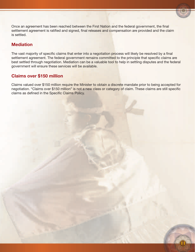Once an agreement has been reached between the First Nation and the federal government, the final settlement agreement is ratified and signed, final releases and compensation are provided and the claim is settled.

## **Mediation**

The vast majority of specific claims that enter into a negotiation process will likely be resolved by a final settlement agreement. The federal government remains committed to the principle that specific claims are best settled through negotiation. Mediation can be a valuable tool to help in settling disputes and the federal government will ensure these services will be available.

## Claims over \$150 million

Claims valued over \$150 million require the Minister to obtain a discrete mandate prior to being accepted for negotiation. "Claims over \$150 million" is not a new class or category of claim. These claims are still specific claims as defined in the Specific Claims Policy.

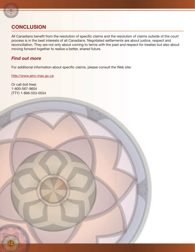# **CONCLUSION**

All Canadians benefit from the resolution of specific claims and the resolution of claims outside of the court process is in the best interests of all Canadians. Negotiated settlements are about justice, respect and reconciliation. They are not only about coming to terms with the past and respect for treaties but also about moving forward together to realize a better, shared future.

# *Find out more*

For additional information about specific claims, please consult the Web site:

http://www.ainc-inac.gc.ca

Or call (toll free): 1-800-567-9604 (TTY) 1-866-553-0554

**12**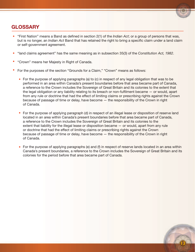# **GLOSSARY**

- "First Nation" means a Band as defned in section 2(1) of the *Indian Act*; or a group of persons that was, but is no longer, an *Indian Act* Band that has retained the right to bring a specifc claim under a land claim or self-government agreement.
- "land claims agreement" has the same meaning as in subsection 35(3) of the *Constitution Act, 1982*.
- "Crown" means her Majesty in Right of Canada.
- For the purposes of the section "Grounds for a Claim," "Crown" means as follows:
	- For the purpose of applying paragraphs (a) to (c) in respect of any legal obligation that was to be performed in an area within Canada's present boundaries before that area became part of Canada, a reference to the Crown includes the Sovereign of Great Britain and its colonies to the extent that the legal obligation or any liability relating to its breach or non-fulflment became — or would, apart from any rule or doctrine that had the effect of limiting claims or prescribing rights against the Crown because of passage of time or delay, have become — the responsibility of the Crown in right of Canada.
	- extent that liability for the illegal lease or disposition became or would, apart from any rule For the purpose of applying paragraph (d) in respect of an illegal lease or disposition of reserve land located in an area within Canada's present boundaries before that area became part of Canada, a reference to the Crown includes the Sovereign of Great Britain and its colonies to the or doctrine that had the effect of limiting claims or prescribing rights against the Crown because of passage of time or delay, have become — the responsibility of the Crown in right of Canada.
	- For the purpose of applying paragraphs (e) and (f) in respect of reserve lands located in an area within Canada's present boundaries, a reference to the Crown includes the Sovereign of Great Britain and its colonies for the period before that area became part of Canada.

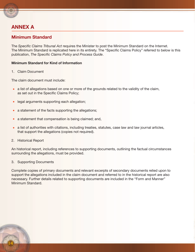# ANNEX A

# Minimum Standard

The *Specific Claims Tribunal Act* requires the Minister to post the Minimum Standard on the Internet. The Minimum Standard is replicated here in its entirety. The "Specific Claims Policy" referred to below is this publication, *The Specific Claims Policy and Process Guide*.

#### Minimum Standard for Kind of Information

1. Claim Document

The claim document must include:

- a list of allegations based on one or more of the grounds related to the validity of the claim, as set out in the Specific Claims Policy;
- legal arguments supporting each allegation;
- a statement of the facts supporting the allegations;
- a statement that compensation is being claimed; and,
- a list of authorities with citations, including treaties, statutes, case law and law journal articles,  $\bullet$ that support the allegations (copies not required).
- 2. Historical Report

**14**

An historical report, including references to supporting documents, outlining the factual circumstances surrounding the allegations, must be provided.

3. Supporting Documents

Complete copies of primary documents and relevant excerpts of secondary documents relied upon to support the allegations included in the claim document and referred to in the historical report are also necessary. Further details related to supporting documents are included in the "Form and Manner" Minimum Standard.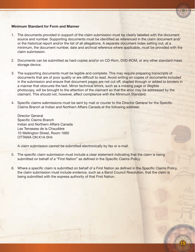#### Minimum Standard for Form and Manner

- source and number. Supporting documents must be identified as referenced in the claim document and/<br>or the historical report and/or the list of all allegations. A separate document index setting out, at a 1. The documents provided in support of the claim submission must be clearly labelled with the document minimum, the document number, date and archival reference where applicable, must be provided with the claim submission.
- 2. Documents can be submitted as hard copies and/or on CD-Rom, DVD-ROM, or any other standard mass storage device.
- 3. The supporting documents must be legible and complete. This may require preparing transcripts of documents that are of poor quality or are difficult to read. Avoid writing on copies of documents included in the submission and ensure that document pages are not cut off, stapled through or added to binders in a manner that obscures the text. Minor technical errors, such as a missing page or illegible photocopy, will be brought to the attention of the claimant so that the error may be addressed by the claimant. This should not, however, affect compliance with the Minimum Standard.
- 4. Specific claims submissions must be sent by mail or courier to the Director General for the Specific Claims Branch at Indian and Northern Affairs Canada at the following address:

Director General Specific Claims Branch Indian and Northern Affairs Canada Les Terrasses de la Chaudière 10 Wellington Street, Room 1660 OTTAWA ON K1A 0H4

A claim submission cannot be submitted electronically by fax or e-mail.

- 5. The specific claim submission must include a clear statement indicating that the claim is being submitted on behalf of a "First Nation" as defined in the Specific Claims Policy.
- 6. Where a specific claim is submitted on behalf of a First Nation as defined in the Specific Claims Policy, the claim submission must include evidence, such as a Band Council Resolution, that the claim is being submitted with the express authority of that First Nation.